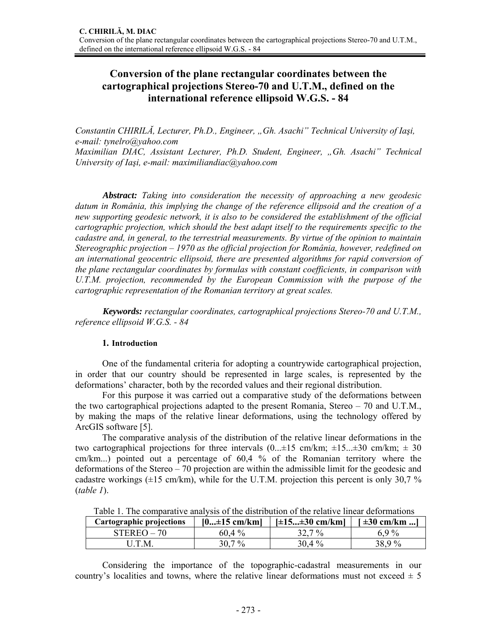## **Conversion of the plane rectangular coordinates between the cartographical projections Stereo-70 and U.T.M., defined on the international reference ellipsoid W.G.S. - 84**

*Constantin CHIRILĂ, Lecturer, Ph.D., Engineer, "Gh. Asachi" Technical University of Iaşi, e-mail: tynelro@yahoo.com Maximilian DIAC, Assistant Lecturer, Ph.D. Student, Engineer, "Gh. Asachi" Technical* 

*University of Iaşi, e-mail: maximiliandiac@yahoo.com* 

*Abstract: Taking into consideration the necessity of approaching a new geodesic datum in România, this implying the change of the reference ellipsoid and the creation of a new supporting geodesic network, it is also to be considered the establishment of the official cartographic projection, which should the best adapt itself to the requirements specific to the cadastre and, in general, to the terrestrial measurements. By virtue of the opinion to maintain Stereographic projection – 1970 as the official projection for România, however, redefined on an international geocentric ellipsoid, there are presented algorithms for rapid conversion of the plane rectangular coordinates by formulas with constant coefficients, in comparison with U.T.M. projection, recommended by the European Commission with the purpose of the cartographic representation of the Romanian territory at great scales.* 

*Keywords: rectangular coordinates, cartographical projections Stereo-70 and U.T.M., reference ellipsoid W.G.S. - 84* 

## **1. Introduction**

One of the fundamental criteria for adopting a countrywide cartographical projection, in order that our country should be represented in large scales, is represented by the deformations' character, both by the recorded values and their regional distribution.

For this purpose it was carried out a comparative study of the deformations between the two cartographical projections adapted to the present Romania, Stereo – 70 and U.T.M., by making the maps of the relative linear deformations, using the technology offered by ArcGIS software [5].

The comparative analysis of the distribution of the relative linear deformations in the two cartographical projections for three intervals  $(0, \pm 15 \text{ cm/km}; \pm 15, \pm 30 \text{ cm/km}; \pm 30 \text{ m}$ cm/km...) pointed out a percentage of 60,4 % of the Romanian territory where the deformations of the Stereo – 70 projection are within the admissible limit for the geodesic and cadastre workings  $(\pm 15 \text{ cm/km})$ , while for the U.T.M. projection this percent is only 30,7 % (*table 1*).

| Cartographic projections | $[0 \pm 15$ cm/km] | $[\pm 15 \pm 30$ cm/km]<br>$\pm 30$ cm/km ] |        |
|--------------------------|--------------------|---------------------------------------------|--------|
| $STEREO-70$              | $60.4\%$           | $32.7\%$                                    | 6.9 %  |
| J.T.M.                   | $7\%$              | $30.4\%$                                    | 38.9 % |

Table 1. The comparative analysis of the distribution of the relative linear deformations

Considering the importance of the topographic-cadastral measurements in our country's localities and towns, where the relative linear deformations must not exceed  $\pm$  5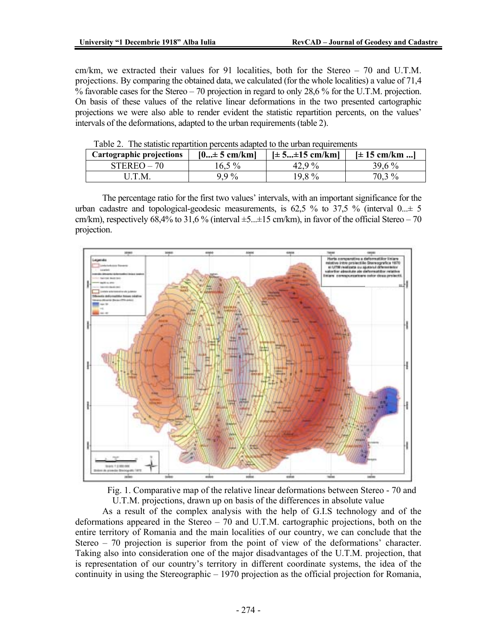cm/km, we extracted their values for 91 localities, both for the Stereo – 70 and U.T.M. projections. By comparing the obtained data, we calculated (for the whole localities) a value of 71,4 % favorable cases for the Stereo – 70 projection in regard to only 28,6 % for the U.T.M. projection. On basis of these values of the relative linear deformations in the two presented cartographic projections we were also able to render evident the statistic repartition percents, on the values' intervals of the deformations, adapted to the urban requirements (table 2).

| Cartographic projections | $[0 \pm 5$ cm/km] | $[\pm 5 \pm 15$ cm/km] | $[\pm 15$ cm/km ] |
|--------------------------|-------------------|------------------------|-------------------|
| $STEREO-70$              | 16.5 %            | 42.9 $\%$              | $39.6\%$          |
| U.T.M.                   | $99\%$            | $19.8\%$               | 70.3 %            |

Table 2. The statistic repartition percents adapted to the urban requirements

The percentage ratio for the first two values' intervals, with an important significance for the urban cadastre and topological-geodesic measurements, is 62,5 % to 37,5 % (interval  $0... \pm 5$ ) cm/km), respectively 68,4% to 31,6 % (interval  $\pm$ 5... $\pm$ 15 cm/km), in favor of the official Stereo – 70 projection.



Fig. 1. Comparative map of the relative linear deformations between Stereo - 70 and U.T.M. projections, drawn up on basis of the differences in absolute value

As a result of the complex analysis with the help of G.I.S technology and of the deformations appeared in the Stereo – 70 and U.T.M. cartographic projections, both on the entire territory of Romania and the main localities of our country, we can conclude that the Stereo – 70 projection is superior from the point of view of the deformations' character. Taking also into consideration one of the major disadvantages of the U.T.M. projection, that is representation of our country's territory in different coordinate systems, the idea of the continuity in using the Stereographic – 1970 projection as the official projection for Romania,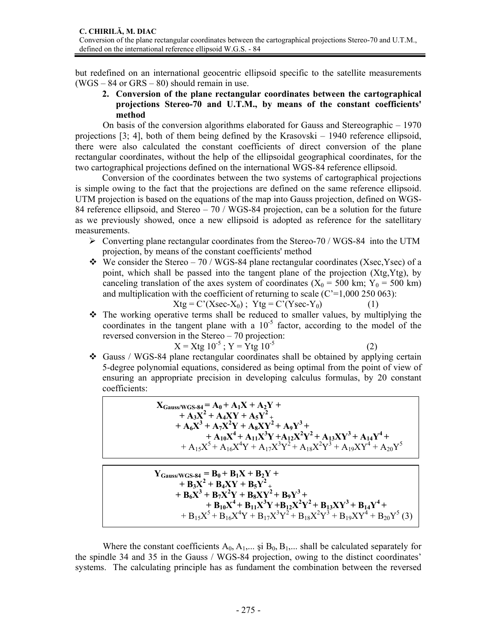but redefined on an international geocentric ellipsoid specific to the satellite measurements (WGS – 84 or GRS – 80) should remain in use.

**2. Conversion of the plane rectangular coordinates between the cartographical projections Stereo-70 and U.T.M., by means of the constant coefficients' method** 

On basis of the conversion algorithms elaborated for Gauss and Stereographic – 1970 projections [3; 4], both of them being defined by the Krasovski – 1940 reference ellipsoid, there were also calculated the constant coefficients of direct conversion of the plane rectangular coordinates, without the help of the ellipsoidal geographical coordinates, for the two cartographical projections defined on the international WGS-84 reference ellipsoid.

Conversion of the coordinates between the two systems of cartographical projections is simple owing to the fact that the projections are defined on the same reference ellipsoid. UTM projection is based on the equations of the map into Gauss projection, defined on WGS-84 reference ellipsoid, and Stereo – 70 / WGS-84 projection, can be a solution for the future as we previously showed, once a new ellipsoid is adopted as reference for the satellitary measurements.

- $\triangleright$  Converting plane rectangular coordinates from the Stereo-70 / WGS-84 into the UTM projection, by means of the constant coefficients' method
- $\div$  We consider the Stereo 70 / WGS-84 plane rectangular coordinates (Xsec,Ysec) of a point, which shall be passed into the tangent plane of the projection (Xtg,Ytg), by canceling translation of the axes system of coordinates ( $X_0 = 500$  km;  $Y_0 = 500$  km) and multiplication with the coefficient of returning to scale  $(C=1,000 250 063)$ :

$$
Xtg = C'(Xsec-X_0); Ytg = C'(Ysec-Y_0)
$$
 (1)

 $\hat{\mathbf{v}}$  The working operative terms shall be reduced to smaller values, by multiplying the coordinates in the tangent plane with a  $10^{-5}$  factor, according to the model of the reversed conversion in the Stereo – 70 projection:

$$
X = Xtg 10^{-5}; Y = Ytg 10^{-5}
$$
 (2)

İ

$$
^{(2)}
$$

 Gauss / WGS-84 plane rectangular coordinates shall be obtained by applying certain 5-degree polynomial equations, considered as being optimal from the point of view of ensuring an appropriate precision in developing calculus formulas, by 20 constant coefficients:

 $X_{\text{Gauss/WGS-84}} = A_0 + A_1X + A_2Y +$  $+ A_3 X^2 + A_4 XY + A_5 Y^2 +$  $+ A_6 X^3 + A_7 X^2 Y + A_8 XY^2 + A_9 Y^3 +$  $+ A_{10}X^4 + A_{11}X^3Y + A_{12}X^2Y^2 + A_{13}XY^3 + A_{14}Y^4 +$ <br>  $+ A_{15}X^5 + A_{16}X^4Y + A_{17}X^3Y^2 + A_{18}X^2Y^3 + A_{19}XY^4 + A_{20}Y^5$ 

 $Y_{\text{Gauss/WGS-84}} = B_0 + B_1X + B_2Y +$  $+ B_3 X^2 + B_4 XY + B_5 Y^2 +$  $+ B_6X^3 + B_7X^2Y + B_8XY^2 + B_9Y^3 +$ +  $B_{10}X^4 + B_{11}X^3Y + B_{12}X^2Y^2 + B_{13}XY^3 + B_{14}Y^4 +$ <br>+  $B_{15}X^5 + B_{16}X^4Y + B_{17}X^3Y^2 + B_{18}X^2Y^3 + B_{19}XY^4 + B_{20}Y^5$  (3)

Where the constant coefficients  $A_0$ ,  $A_1$ ,... și  $B_0$ ,  $B_1$ ,... shall be calculated separately for the spindle 34 and 35 in the Gauss / WGS-84 projection, owing to the distinct coordinates' systems. The calculating principle has as fundament the combination between the reversed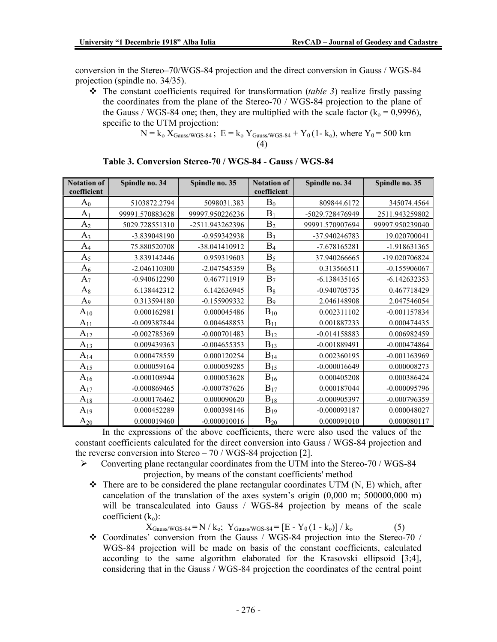conversion in the Stereo–70/WGS-84 projection and the direct conversion in Gauss / WGS-84 projection (spindle no. 34/35).

 The constant coefficients required for transformation (*table 3*) realize firstly passing the coordinates from the plane of the Stereo-70 / WGS-84 projection to the plane of the Gauss / WGS-84 one; then, they are multiplied with the scale factor  $(k_0 = 0.9996)$ , specific to the UTM projection:

N = ko XGauss/WGS-84 ; E = ko YGauss/WGS-84 + Y0 (1- ko), where Y0 = 500 km (4)

| <b>Notation of</b><br>coefficient | Spindle no. 34  | Spindle no. 35  | <b>Notation of</b><br>coefficient | Spindle no. 34  | Spindle no. 35  |
|-----------------------------------|-----------------|-----------------|-----------------------------------|-----------------|-----------------|
| $\rm A_0$                         | 5103872.2794    | 5098031.383     | $B_0$                             | 809844.6172     | 345074.4564     |
| A <sub>1</sub>                    | 99991.570883628 | 99997.950226236 | $B_1$                             | -5029.728476949 | 2511.943259802  |
| A <sub>2</sub>                    | 5029.728551310  | -2511.943262396 | B <sub>2</sub>                    | 99991.570907694 | 99997.950239040 |
| $A_3$                             | -3.839048190    | -0.959342938    | $B_3$                             | -37.940246783   | 19.020700041    |
| $A_4$                             | 75.880520708    | -38.041410912   | $B_4$                             | -7.678165281    | -1.918631365    |
| $A_5$                             | 3.839142446     | 0.959319603     | $B_5$                             | 37.940266665    | -19.020706824   |
| $A_6$                             | $-2.046110300$  | -2.047545359    | $B_6$                             | 0.313566511     | $-0.155906067$  |
| $A_7$                             | $-0.940612290$  | 0.467711919     | $B_7$                             | $-6.138435165$  | $-6.142632353$  |
| $A_8$                             | 6.138442312     | 6.142636945     | $\mathrm{B}_8$                    | $-0.940705735$  | 0.467718429     |
| A <sub>9</sub>                    | 0.313594180     | -0.155909332    | B <sub>9</sub>                    | 2.046148908     | 2.047546054     |
| $A_{10}$                          | 0.000162981     | 0.000045486     | $B_{10}$                          | 0.002311102     | $-0.001157834$  |
| $A_{11}$                          | $-0.009387844$  | 0.004648853     | $B_{11}$                          | 0.001887233     | 0.000474435     |
| $A_{12}$                          | -0.002785369    | $-0.000701483$  | $B_{12}$                          | $-0.014158883$  | 0.006982459     |
| $A_{13}$                          | 0.009439363     | $-0.004655353$  | $B_{13}$                          | $-0.001889491$  | $-0.000474864$  |
| $A_{14}$                          | 0.000478559     | 0.000120254     | $B_{14}$                          | 0.002360195     | $-0.001163969$  |
| $A_{15}$                          | 0.000059164     | 0.000059285     | $B_{15}$                          | $-0.000016649$  | 0.000008273     |
| $A_{16}$                          | $-0.000108944$  | 0.000053628     | $B_{16}$                          | 0.000405208     | 0.000386424     |
| $A_{17}$                          | $-0.000869465$  | $-0.000787626$  | $B_{12}$                          | 0.000187044     | $-0.000095796$  |
| $A_{18}$                          | $-0.000176462$  | 0.000090620     | $B_{18}$                          | $-0.000905397$  | $-0.000796359$  |
| $A_{19}$                          | 0.000452289     | 0.000398146     | $B_{19}$                          | $-0.000093187$  | 0.000048027     |
| $A_{20}$                          | 0.000019460     | $-0.000010016$  | $B_{20}$                          | 0.000091010     | 0.000080117     |

| Table 3. Conversion Stereo-70 / WGS-84 - Gauss / WGS-84 |  |
|---------------------------------------------------------|--|
|---------------------------------------------------------|--|

In the expressions of the above coefficients, there were also used the values of the constant coefficients calculated for the direct conversion into Gauss / WGS-84 projection and the reverse conversion into Stereo – 70 / WGS-84 projection [2].

- ¾ Converting plane rectangular coordinates from the UTM into the Stereo-70 / WGS-84 projection, by means of the constant coefficients' method
	- $\div$  There are to be considered the plane rectangular coordinates UTM (N, E) which, after cancelation of the translation of the axes system's origin (0,000 m; 500000,000 m) will be transcalculated into Gauss / WGS-84 projection by means of the scale coefficient  $(k_0)$ :

 $X_{\text{Gauss/WGS-84}} = N / k_o$ ;  $Y_{\text{Gauss/WGS-84}} = [E - Y_0 (1 - k_o)] / k_o$  (5)

 $\div$  Coordinates' conversion from the Gauss / WGS-84 projection into the Stereo-70 / WGS-84 projection will be made on basis of the constant coefficients, calculated according to the same algorithm elaborated for the Krasovski ellipsoid [3;4], considering that in the Gauss / WGS-84 projection the coordinates of the central point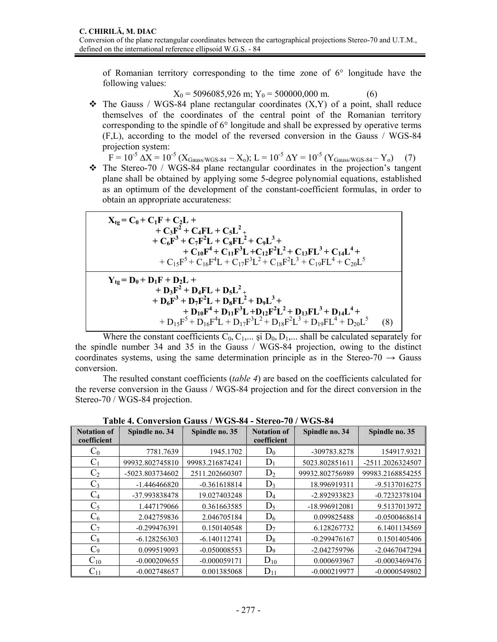of Romanian territory corresponding to the time zone of 6° longitude have the following values:

 $X_0 = 5096085,926$  m;  $Y_0 = 500000,000$  m.  $(6)$ 

 $\div$  The Gauss / WGS-84 plane rectangular coordinates  $(X, Y)$  of a point, shall reduce themselves of the coordinates of the central point of the Romanian territory corresponding to the spindle of 6° longitude and shall be expressed by operative terms (F,L), according to the model of the reversed conversion in the Gauss / WGS-84 projection system:

 $F = 10^{-5} \Delta X = 10^{-5} (X_{\text{Gauss/WGS-84}} - X_o); L = 10^{-5} \Delta Y = 10^{-5} (Y_{\text{Gauss/WGS-84}} - Y_o)$  (7)

 The Stereo-70 / WGS-84 plane rectangular coordinates in the projection's tangent plane shall be obtained by applying some 5-degree polynomial equations, established as an optimum of the development of the constant-coefficient formulas, in order to obtain an appropriate accurateness:

| $X_{tg} = C_0 + C_1F + C_2L +$<br>+ $C_3F^2$ + $C_4FL$ + $C_5L^2$ +<br>+ $C_6F^3$ + $C_7F^2L$ + $C_8FL^2$ + $C_9L^3$ +<br>+ $C_{10}F^4$ + $C_{11}F^3L$ + $C_{12}F^2L^2$ + $C_{13}FL^3$ + $C_{14}L^4$ +<br>$+C_{15}F^5+C_{16}F^4L+C_{17}F^3L^2+C_{18}F^2L^3+C_{19}FL^4+C_{20}L^5$                |     |
|-------------------------------------------------------------------------------------------------------------------------------------------------------------------------------------------------------------------------------------------------------------------------------------------------|-----|
| $Y_{1g} = D_0 + D_1F + D_2L +$<br>+ $D_3F^2$ + $D_4FL$ + $D_5L^2$ +<br>+ $D_6F^3 + D_7F^2L + D_8FL^2 + D_9L^3 +$<br>+ $D_{10}F^4$ + $D_{11}F^3L$ + $D_{12}F^2L^2$ + $D_{13}FL^3$ + $D_{14}L^4$ +<br>+ $D_{15}F^5$ + $D_{16}F^4L$ + $D_{17}F^3L^2$ + $D_{18}F^2L^3$ + $D_{19}FL^4$ + $D_{20}L^5$ | (8) |

Where the constant coefficients  $C_0, C_1, \ldots, S_i$  D<sub>0</sub>, D<sub>1</sub>,... shall be calculated separately for the spindle number 34 and 35 in the Gauss / WGS-84 projection, owing to the distinct coordinates systems, using the same determination principle as in the Stereo-70  $\rightarrow$  Gauss conversion.

The resulted constant coefficients (*table 4*) are based on the coefficients calculated for the reverse conversion in the Gauss / WGS-84 projection and for the direct conversion in the Stereo-70 / WGS-84 projection.

| <b>Notation of</b> | Spindle no. 34  | Spindle no. 35  | <b>Notation of</b> | Spindle no. 34  | Spindle no. 35   |
|--------------------|-----------------|-----------------|--------------------|-----------------|------------------|
| coefficient        |                 |                 | coefficient        |                 |                  |
| $\mathrm{C}_0$     | 7781.7639       | 1945.1702       | $D_0$              | -309783.8278    | 154917.9321      |
| $C_1$              | 99932.802745810 | 99983.216874241 | $D_1$              | 5023.802851611  | -2511.2026324507 |
| C <sub>2</sub>     | -5023.803734602 | 2511.202660307  | $D_2$              | 99932.802756989 | 99983.2168854255 |
| $C_3$              | $-1.446466820$  | $-0.361618814$  | $D_3$              | 18.996919311    | -9.5137016275    |
| $\rm{C}_4$         | -37.993838478   | 19.027403248    | $D_4$              | -2.892933823    | $-0.7232378104$  |
| $C_5$              | 1.447179066     | 0.361663585     | $D_5$              | -18.996912081   | 9.5137013972     |
| $C_6$              | 2.042759836     | 2.046705184     | $D_6$              | 0.099825488     | $-0.0500468614$  |
| $\mathrm{C}_7$     | $-0.299476391$  | 0.150140548     | $D_7$              | 6.128267732     | 6.1401134569     |
| $C_8$              | $-6.128256303$  | $-6.140112741$  | $D_8$              | $-0.299476167$  | 0.1501405406     |
| $C_9$              | 0.099519093     | $-0.050008553$  | $D_9$              | -2.042759796    | -2.0467047294    |
| $C_{10}$           | $-0.000209655$  | $-0.000059171$  | $D_{10}$           | 0.000693967     | $-0.0003469476$  |
| $C_{11}$           | $-0.002748657$  | 0.001385068     | $D_{11}$           | $-0.000219977$  | $-0.0000549802$  |

**Table 4. Conversion Gauss / WGS-84 - Stereo-70 / WGS-84**